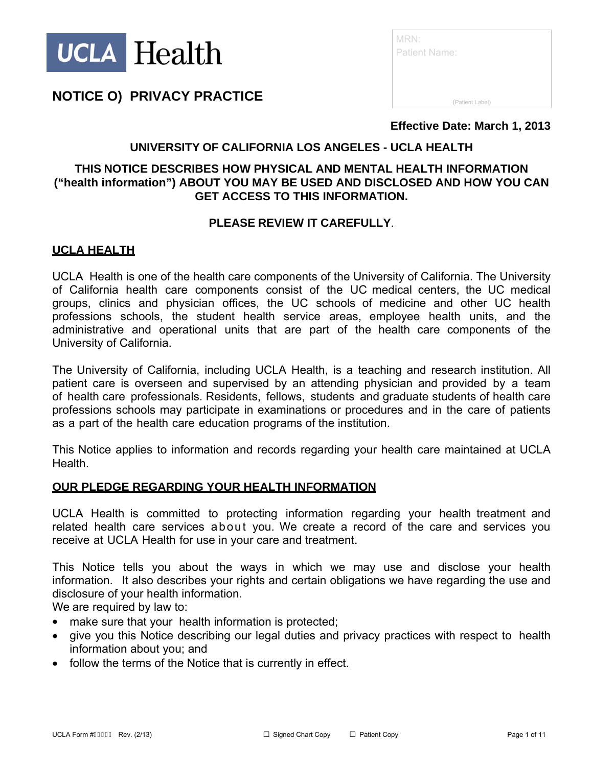

| MRN:<br><b>Patient Name:</b> |  |
|------------------------------|--|
| (Patient Label)              |  |

**Effective Date: March 1, 2013** 

## **UNIVERSITY OF CALIFORNIA LOS ANGELES - UCLA HEALTH**

## **THIS NOTICE DESCRIBES HOW PHYSICAL AND MENTAL HEALTH INFORMATION ("health information") ABOUT YOU MAY BE USED AND DISCLOSED AND HOW YOU CAN GET ACCESS TO THIS INFORMATION.**

### **PLEASE REVIEW IT CAREFULLY**.

### **UCLA HEALTH**

UCLA Health is one of the health care components of the University of California. The University of California health care components consist of the UC medical centers, the UC medical groups, clinics and physician offices, the UC schools of medicine and other UC health professions schools, the student health service areas, employee health units, and the administrative and operational units that are part of the health care components of the University of California.

The University of California, including UCLA Health, is a teaching and research institution. All patient care is overseen and supervised by an attending physician and provided by a team of health care professionals. Residents, fellows, students and graduate students of health care professions schools may participate in examinations or procedures and in the care of patients as a part of the health care education programs of the institution.

This Notice applies to information and records regarding your health care maintained at UCLA Health.

#### **OUR PLEDGE REGARDING YOUR HEALTH INFORMATION**

UCLA Health is committed to protecting information regarding your health treatment and related health care services about you. We create a record of the care and services you receive at UCLA Health for use in your care and treatment.

This Notice tells you about the ways in which we may use and disclose your health information. It also describes your rights and certain obligations we have regarding the use and disclosure of your health information.

We are required by law to:

- make sure that your health information is protected;
- give you this Notice describing our legal duties and privacy practices with respect to health information about you; and
- follow the terms of the Notice that is currently in effect.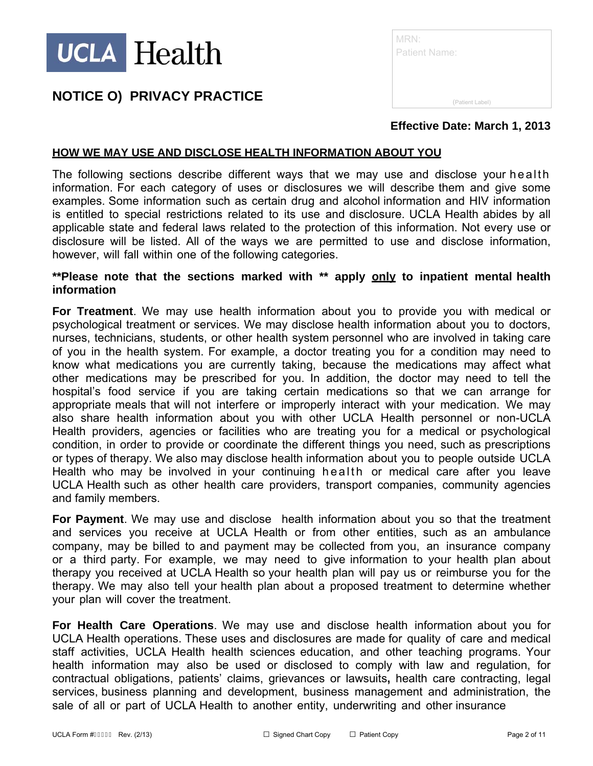

| MRN:<br><b>Patient Name:</b> |                 |
|------------------------------|-----------------|
|                              | (Patient Label) |

### **Effective Date: March 1, 2013**

### **HOW WE MAY USE AND DISCLOSE HEALTH INFORMATION ABOUT YOU**

The following sections describe different ways that we may use and disclose your health information. For each category of uses or disclosures we will describe them and give some examples. Some information such as certain drug and alcohol information and HIV information is entitled to special restrictions related to its use and disclosure. UCLA Health abides by all applicable state and federal laws related to the protection of this information. Not every use or disclosure will be listed. All of the ways we are permitted to use and disclose information, however, will fall within one of the following categories.

#### **\*\*Please note that the sections marked with \*\* apply only to inpatient mental health information**

**For Treatment**. We may use health information about you to provide you with medical or psychological treatment or services. We may disclose health information about you to doctors, nurses, technicians, students, or other health system personnel who are involved in taking care of you in the health system. For example, a doctor treating you for a condition may need to know what medications you are currently taking, because the medications may affect what other medications may be prescribed for you. In addition, the doctor may need to tell the hospital's food service if you are taking certain medications so that we can arrange for appropriate meals that will not interfere or improperly interact with your medication. We may also share health information about you with other UCLA Health personnel or non-UCLA Health providers, agencies or facilities who are treating you for a medical or psychological condition, in order to provide or coordinate the different things you need, such as prescriptions or types of therapy. We also may disclose health information about you to people outside UCLA Health who may be involved in your continuing health or medical care after you leave UCLA Health such as other health care providers, transport companies, community agencies and family members.

**For Payment**. We may use and disclose health information about you so that the treatment and services you receive at UCLA Health or from other entities, such as an ambulance company, may be billed to and payment may be collected from you, an insurance company or a third party. For example, we may need to give information to your health plan about therapy you received at UCLA Health so your health plan will pay us or reimburse you for the therapy. We may also tell your health plan about a proposed treatment to determine whether your plan will cover the treatment.

**For Health Care Operations**. We may use and disclose health information about you for UCLA Health operations. These uses and disclosures are made for quality of care and medical staff activities, UCLA Health health sciences education, and other teaching programs. Your health information may also be used or disclosed to comply with law and regulation, for contractual obligations, patients' claims, grievances or lawsuits**,** health care contracting, legal services, business planning and development, business management and administration, the sale of all or part of UCLA Health to another entity, underwriting and other insurance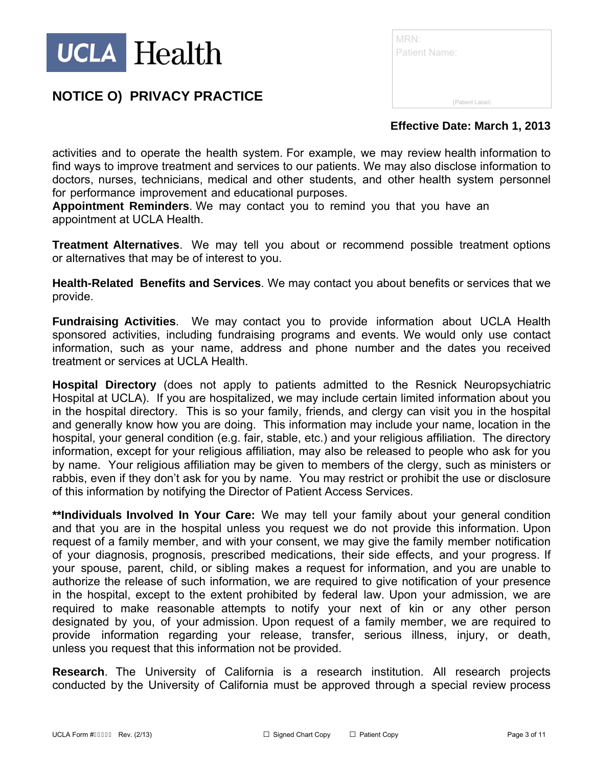

| MRN:<br><b>Patient Name:</b> |                 |
|------------------------------|-----------------|
|                              | (Patient Label) |

## **Effective Date: March 1, 2013**

activities and to operate the health system. For example, we may review health information to find ways to improve treatment and services to our patients. We may also disclose information to doctors, nurses, technicians, medical and other students, and other health system personnel for performance improvement and educational purposes.

**Appointment Reminders**. We may contact you to remind you that you have an appointment at UCLA Health.

**Treatment Alternatives**. We may tell you about or recommend possible treatment options or alternatives that may be of interest to you.

**Health-Related Benefits and Services**. We may contact you about benefits or services that we provide.

**Fundraising Activities**. We may contact you to provide information about UCLA Health sponsored activities, including fundraising programs and events. We would only use contact information, such as your name, address and phone number and the dates you received treatment or services at UCLA Health.

**Hospital Directory** (does not apply to patients admitted to the Resnick Neuropsychiatric Hospital at UCLA). If you are hospitalized, we may include certain limited information about you in the hospital directory. This is so your family, friends, and clergy can visit you in the hospital and generally know how you are doing. This information may include your name, location in the hospital, your general condition (e.g. fair, stable, etc.) and your religious affiliation. The directory information, except for your religious affiliation, may also be released to people who ask for you by name. Your religious affiliation may be given to members of the clergy, such as ministers or rabbis, even if they don't ask for you by name. You may restrict or prohibit the use or disclosure of this information by notifying the Director of Patient Access Services.

**\*\*Individuals Involved In Your Care:** We may tell your family about your general condition and that you are in the hospital unless you request we do not provide this information. Upon request of a family member, and with your consent, we may give the family member notification of your diagnosis, prognosis, prescribed medications, their side effects, and your progress. If your spouse, parent, child, or sibling makes a request for information, and you are unable to authorize the release of such information, we are required to give notification of your presence in the hospital, except to the extent prohibited by federal law. Upon your admission, we are required to make reasonable attempts to notify your next of kin or any other person designated by you, of your admission. Upon request of a family member, we are required to provide information regarding your release, transfer, serious illness, injury, or death, unless you request that this information not be provided.

**Research**. The University of California is a research institution. All research projects conducted by the University of California must be approved through a special review process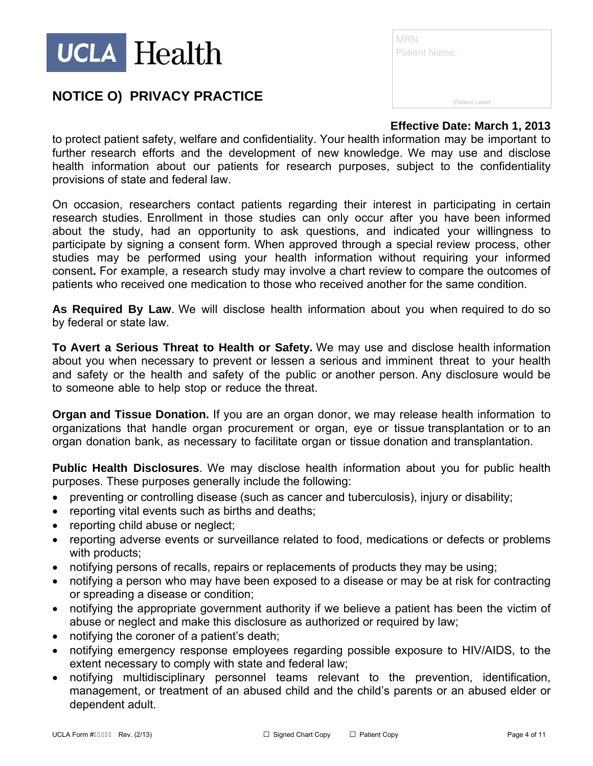

| MRN:<br><b>Patient Name:</b> |                 |
|------------------------------|-----------------|
|                              | (Patient Label) |

## **Effective Date: March 1, 2013**

to protect patient safety, welfare and confidentiality. Your health information may be important to further research efforts and the development of new knowledge. We may use and disclose health information about our patients for research purposes, subject to the confidentiality provisions of state and federal law.

On occasion, researchers contact patients regarding their interest in participating in certain research studies. Enrollment in those studies can only occur after you have been informed about the study, had an opportunity to ask questions, and indicated your willingness to participate by signing a consent form. When approved through a special review process, other studies may be performed using your health information without requiring your informed consent**.** For example, a research study may involve a chart review to compare the outcomes of patients who received one medication to those who received another for the same condition.

**As Required By Law**. We will disclose health information about you when required to do so by federal or state law.

**To Avert a Serious Threat to Health or Safety.** We may use and disclose health information about you when necessary to prevent or lessen a serious and imminent threat to your health and safety or the health and safety of the public or another person. Any disclosure would be to someone able to help stop or reduce the threat.

**Organ and Tissue Donation.** If you are an organ donor, we may release health information to organizations that handle organ procurement or organ, eye or tissue transplantation or to an organ donation bank, as necessary to facilitate organ or tissue donation and transplantation.

**Public Health Disclosures**. We may disclose health information about you for public health purposes. These purposes generally include the following:

- preventing or controlling disease (such as cancer and tuberculosis), injury or disability;
- reporting vital events such as births and deaths;
- reporting child abuse or neglect;
- reporting adverse events or surveillance related to food, medications or defects or problems with products;
- notifying persons of recalls, repairs or replacements of products they may be using;
- notifying a person who may have been exposed to a disease or may be at risk for contracting or spreading a disease or condition;
- notifying the appropriate government authority if we believe a patient has been the victim of abuse or neglect and make this disclosure as authorized or required by law;
- notifying the coroner of a patient's death;
- notifying emergency response employees regarding possible exposure to HIV/AIDS, to the extent necessary to comply with state and federal law;
- notifying multidisciplinary personnel teams relevant to the prevention, identification, management, or treatment of an abused child and the child's parents or an abused elder or dependent adult.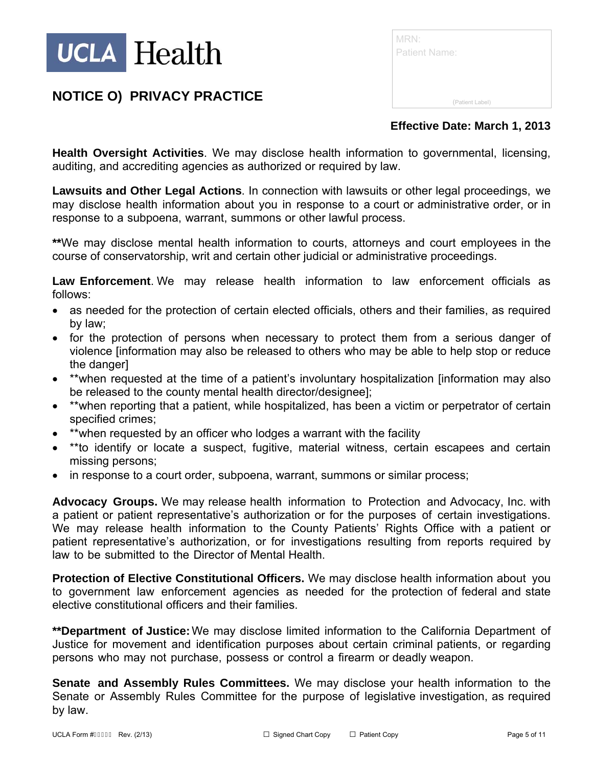

| MRN:<br><b>Patient Name:</b> |                 |  |
|------------------------------|-----------------|--|
|                              | (Patient Label) |  |

## **Effective Date: March 1, 2013**

**Health Oversight Activities**. We may disclose health information to governmental, licensing, auditing, and accrediting agencies as authorized or required by law.

**Lawsuits and Other Legal Actions**. In connection with lawsuits or other legal proceedings, we may disclose health information about you in response to a court or administrative order, or in response to a subpoena, warrant, summons or other lawful process.

**\*\***We may disclose mental health information to courts, attorneys and court employees in the course of conservatorship, writ and certain other judicial or administrative proceedings.

**Law Enforcement**. We may release health information to law enforcement officials as follows:

- as needed for the protection of certain elected officials, others and their families, as required by law;
- for the protection of persons when necessary to protect them from a serious danger of violence [information may also be released to others who may be able to help stop or reduce the danger]
- \*\*when requested at the time of a patient's involuntary hospitalization [information may also be released to the county mental health director/designee];
- \*\*when reporting that a patient, while hospitalized, has been a victim or perpetrator of certain specified crimes;
- \*\*when requested by an officer who lodges a warrant with the facility
- \*\*to identify or locate a suspect, fugitive, material witness, certain escapees and certain missing persons;
- in response to a court order, subpoena, warrant, summons or similar process;

**Advocacy Groups.** We may release health information to Protection and Advocacy, Inc. with a patient or patient representative's authorization or for the purposes of certain investigations. We may release health information to the County Patients' Rights Office with a patient or patient representative's authorization, or for investigations resulting from reports required by law to be submitted to the Director of Mental Health.

**Protection of Elective Constitutional Officers.** We may disclose health information about you to government law enforcement agencies as needed for the protection of federal and state elective constitutional officers and their families.

**\*\*Department of Justice:** We may disclose limited information to the California Department of Justice for movement and identification purposes about certain criminal patients, or regarding persons who may not purchase, possess or control a firearm or deadly weapon.

**Senate and Assembly Rules Committees.** We may disclose your health information to the Senate or Assembly Rules Committee for the purpose of legislative investigation, as required by law.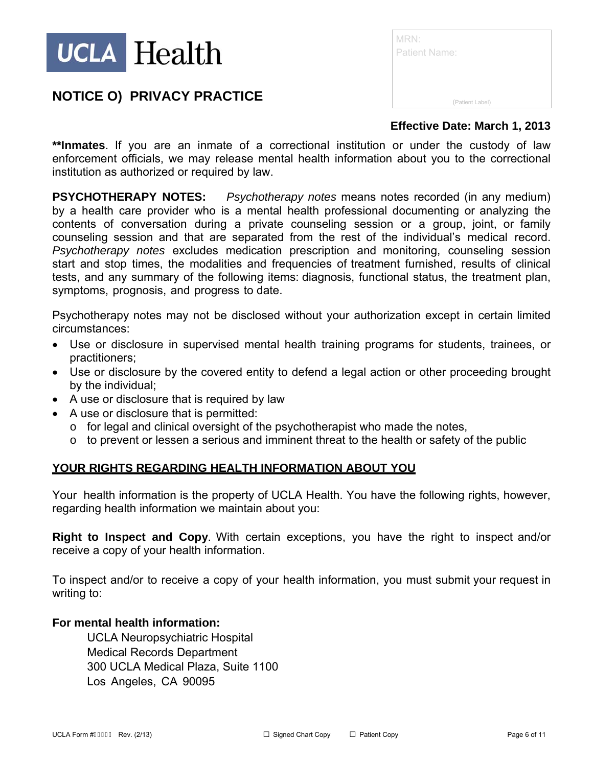

| MRN:                 |                 |  |  |
|----------------------|-----------------|--|--|
| <b>Patient Name:</b> |                 |  |  |
|                      |                 |  |  |
|                      |                 |  |  |
|                      | (Patient Label) |  |  |

### **Effective Date: March 1, 2013**

**\*\*Inmates**. If you are an inmate of a correctional institution or under the custody of law enforcement officials, we may release mental health information about you to the correctional institution as authorized or required by law.

**PSYCHOTHERAPY NOTES:** *Psychotherapy notes* means notes recorded (in any medium) by a health care provider who is a mental health professional documenting or analyzing the contents of conversation during a private counseling session or a group, joint, or family counseling session and that are separated from the rest of the individual's medical record. *Psychotherapy notes* excludes medication prescription and monitoring, counseling session start and stop times, the modalities and frequencies of treatment furnished, results of clinical tests, and any summary of the following items: diagnosis, functional status, the treatment plan, symptoms, prognosis, and progress to date.

Psychotherapy notes may not be disclosed without your authorization except in certain limited circumstances:

- Use or disclosure in supervised mental health training programs for students, trainees, or practitioners;
- Use or disclosure by the covered entity to defend a legal action or other proceeding brought by the individual;
- A use or disclosure that is required by law
- A use or disclosure that is permitted:
	- o for legal and clinical oversight of the psychotherapist who made the notes,
	- $\circ$  to prevent or lessen a serious and imminent threat to the health or safety of the public

#### **YOUR RIGHTS REGARDING HEALTH INFORMATION ABOUT YOU**

Your health information is the property of UCLA Health. You have the following rights, however, regarding health information we maintain about you:

**Right to Inspect and Copy**. With certain exceptions, you have the right to inspect and/or receive a copy of your health information.

To inspect and/or to receive a copy of your health information, you must submit your request in writing to:

#### **For mental health information:**

UCLA Neuropsychiatric Hospital Medical Records Department 300 UCLA Medical Plaza, Suite 1100 Los Angeles, CA 90095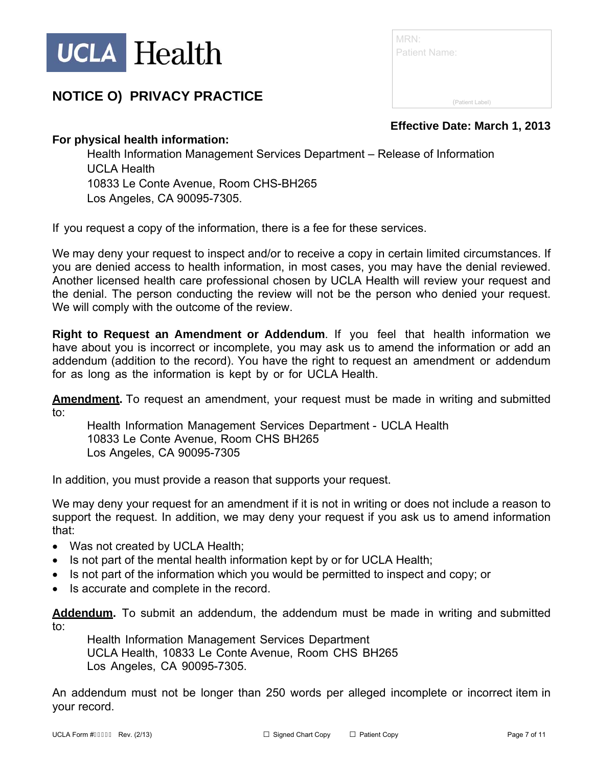

| MRN:<br><b>Patient Name:</b> |                 |
|------------------------------|-----------------|
|                              |                 |
|                              | (Patient Label) |

**Effective Date: March 1, 2013** 

## **For physical health information:**

Health Information Management Services Department – Release of Information UCLA Health 10833 Le Conte Avenue, Room CHS-BH265 Los Angeles, CA 90095-7305.

If you request a copy of the information, there is a fee for these services.

We may deny your request to inspect and/or to receive a copy in certain limited circumstances. If you are denied access to health information, in most cases, you may have the denial reviewed. Another licensed health care professional chosen by UCLA Health will review your request and the denial. The person conducting the review will not be the person who denied your request. We will comply with the outcome of the review.

**Right to Request an Amendment or Addendum**. If you feel that health information we have about you is incorrect or incomplete, you may ask us to amend the information or add an addendum (addition to the record). You have the right to request an amendment or addendum for as long as the information is kept by or for UCLA Health.

**Amendment.** To request an amendment, your request must be made in writing and submitted to:

Health Information Management Services Department - UCLA Health 10833 Le Conte Avenue, Room CHS BH265 Los Angeles, CA 90095-7305

In addition, you must provide a reason that supports your request.

We may deny your request for an amendment if it is not in writing or does not include a reason to support the request. In addition, we may deny your request if you ask us to amend information that:

- Was not created by UCLA Health;
- Is not part of the mental health information kept by or for UCLA Health;
- Is not part of the information which you would be permitted to inspect and copy; or
- Is accurate and complete in the record.

**Addendum.** To submit an addendum, the addendum must be made in writing and submitted to:

Health Information Management Services Department UCLA Health, 10833 Le Conte Avenue, Room CHS BH265 Los Angeles, CA 90095-7305.

An addendum must not be longer than 250 words per alleged incomplete or incorrect item in your record.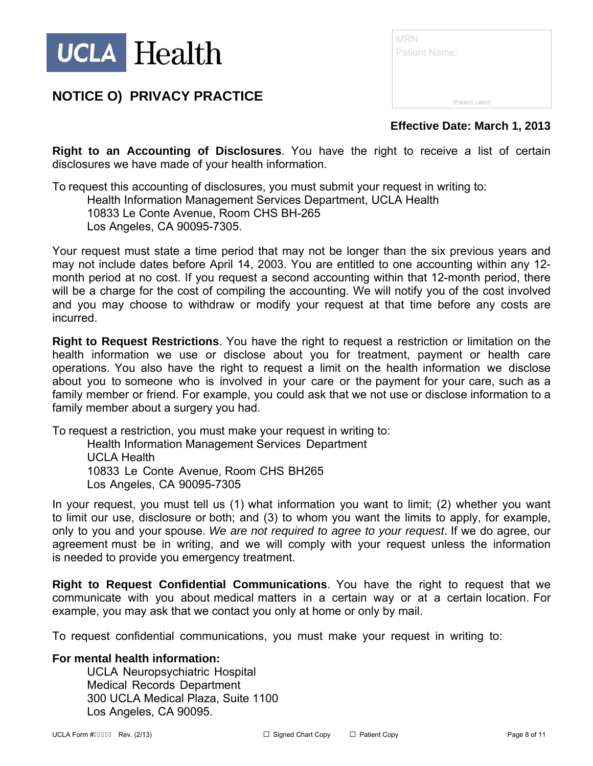

| <b>MRN:</b><br><b>Patient Name:</b> |                 |
|-------------------------------------|-----------------|
|                                     | (Patient Label) |

**Effective Date: March 1, 2013** 

**Right to an Accounting of Disclosures**. You have the right to receive a list of certain disclosures we have made of your health information.

To request this accounting of disclosures, you must submit your request in writing to: Health Information Management Services Department, UCLA Health 10833 Le Conte Avenue, Room CHS BH-265 Los Angeles, CA 90095-7305.

Your request must state a time period that may not be longer than the six previous years and may not include dates before April 14, 2003. You are entitled to one accounting within any 12 month period at no cost. If you request a second accounting within that 12-month period, there will be a charge for the cost of compiling the accounting. We will notify you of the cost involved and you may choose to withdraw or modify your request at that time before any costs are incurred.

**Right to Request Restrictions**. You have the right to request a restriction or limitation on the health information we use or disclose about you for treatment, payment or health care operations. You also have the right to request a limit on the health information we disclose about you to someone who is involved in your care or the payment for your care, such as a family member or friend. For example, you could ask that we not use or disclose information to a family member about a surgery you had.

To request a restriction, you must make your request in writing to:

Health Information Management Services Department UCLA Health 10833 Le Conte Avenue, Room CHS BH265 Los Angeles, CA 90095-7305

In your request, you must tell us (1) what information you want to limit; (2) whether you want to limit our use, disclosure or both; and (3) to whom you want the limits to apply, for example, only to you and your spouse. *We are not required to agree to your request*. If we do agree, our agreement must be in writing, and we will comply with your request unless the information is needed to provide you emergency treatment.

**Right to Request Confidential Communications**. You have the right to request that we communicate with you about medical matters in a certain way or at a certain location. For example, you may ask that we contact you only at home or only by mail.

To request confidential communications, you must make your request in writing to:

### **For mental health information:**

UCLA Neuropsychiatric Hospital Medical Records Department 300 UCLA Medical Plaza, Suite 1100 Los Angeles, CA 90095.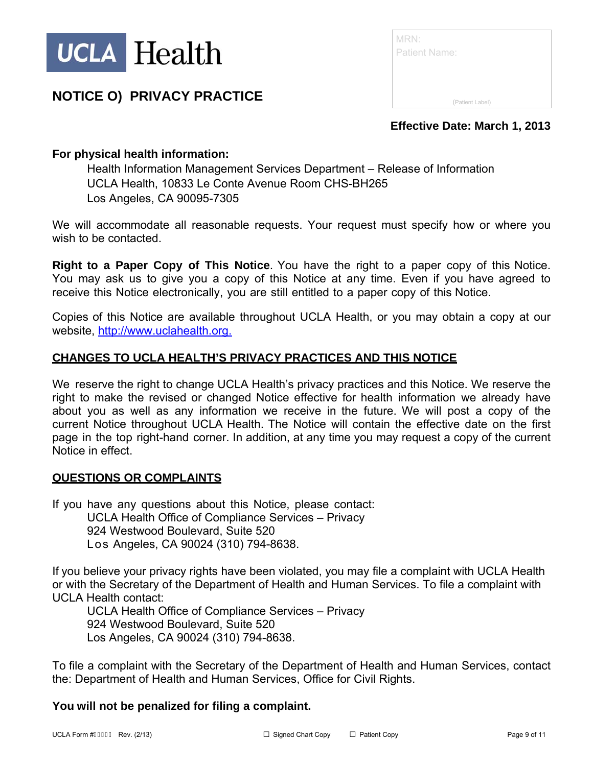

| MRN:<br><b>Patient Name:</b> |  |
|------------------------------|--|
| (Patient Label)              |  |

### **Effective Date: March 1, 2013**

## **For physical health information:**

Health Information Management Services Department – Release of Information UCLA Health, 10833 Le Conte Avenue Room CHS-BH265 Los Angeles, CA 90095-7305

We will accommodate all reasonable requests. Your request must specify how or where you wish to be contacted.

**Right to a Paper Copy of This Notice**. You have the right to a paper copy of this Notice. You may ask us to give you a copy of this Notice at any time. Even if you have agreed to receive this Notice electronically, you are still entitled to a paper copy of this Notice.

Copies of this Notice are available throughout UCLA Health, or you may obtain a copy at our website, http://www.uclahealth.org.

#### **CHANGES TO UCLA HEALTH'S PRIVACY PRACTICES AND THIS NOTICE**

We reserve the right to change UCLA Health's privacy practices and this Notice. We reserve the right to make the revised or changed Notice effective for health information we already have about you as well as any information we receive in the future. We will post a copy of the current Notice throughout UCLA Health. The Notice will contain the effective date on the first page in the top right-hand corner. In addition, at any time you may request a copy of the current Notice in effect.

#### **QUESTIONS OR COMPLAINTS**

If you have any questions about this Notice, please contact: UCLA Health Office of Compliance Services – Privacy 924 Westwood Boulevard, Suite 520 Los Angeles, CA 90024 (310) 794-8638.

If you believe your privacy rights have been violated, you may file a complaint with UCLA Health or with the Secretary of the Department of Health and Human Services. To file a complaint with UCLA Health contact:

UCLA Health Office of Compliance Services – Privacy 924 Westwood Boulevard, Suite 520 Los Angeles, CA 90024 (310) 794-8638.

To file a complaint with the Secretary of the Department of Health and Human Services, contact the: Department of Health and Human Services, Office for Civil Rights.

### **You will not be penalized for filing a complaint.**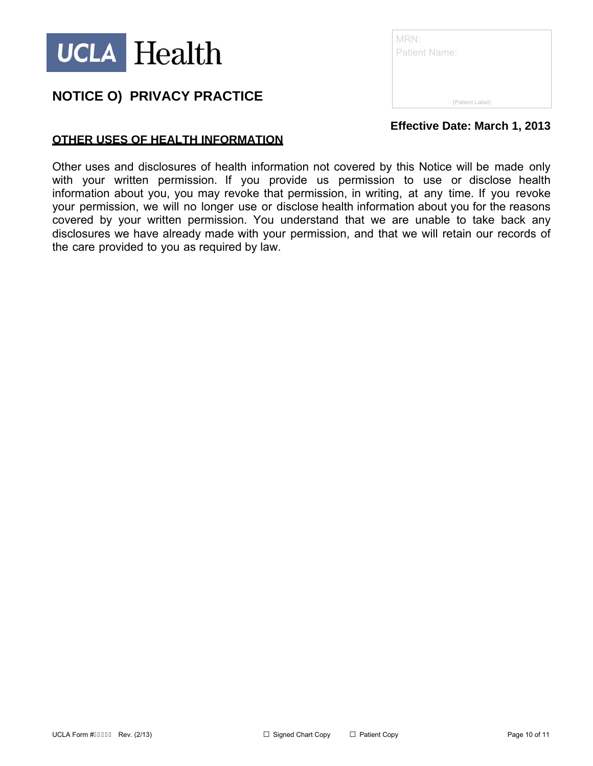

| MRN:<br><b>Patient Name:</b> |                 |
|------------------------------|-----------------|
|                              | (Patient Label) |

**Effective Date: March 1, 2013** 

## **OTHER USES OF HEALTH INFORMATION**

Other uses and disclosures of health information not covered by this Notice will be made only with your written permission. If you provide us permission to use or disclose health information about you, you may revoke that permission, in writing, at any time. If you revoke your permission, we will no longer use or disclose health information about you for the reasons covered by your written permission. You understand that we are unable to take back any disclosures we have already made with your permission, and that we will retain our records of the care provided to you as required by law.